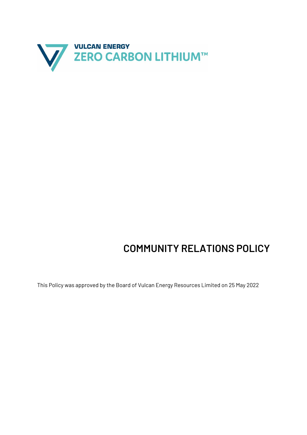

## **COMMUNITY RELATIONS POLICY**

This Policy was approved by the Board of Vulcan Energy Resources Limited on 25 May 2022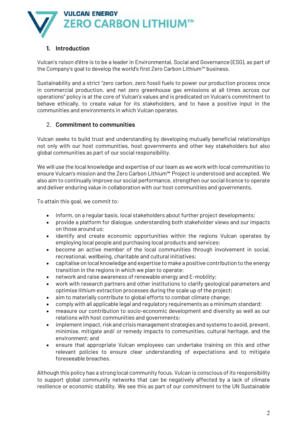

## **1. Introduction**

Vulcan's *raison d'être* is to be a leader in Environmental, Social and Governance (ESG), as part of the Company's goal to develop the world's first Zero Carbon Lithium™ business.

Sustainability and a strict "zero carbon, zero fossil fuels to power our production process once in commercial production, and net zero greenhouse gas emissions at all times across our operations" policy is at the core of Vulcan's values and is predicated on Vulcan's commitment to behave ethically, to create value for its stakeholders, and to have a positive input in the communities and environments in which Vulcan operates.

## 2. **Commitment to communities**

Vulcan seeks to build trust and understanding by developing mutually beneficial relationships not only with our host communities, host governments and other key stakeholders but also global communities as part of our social responsibility.

We will use the local knowledge and expertise of our team as we work with local communities to ensure Vulcan's mission and the Zero Carbon Lithium™ Project is understood and accepted. We also aim to continually improve our social performance, strengthen our social licence to operate and deliver enduring value in collaboration with our host communities and governments.

To attain this goal, we commit to:

- inform, on a regular basis, local stakeholders about further project developments;
- provide a platform for dialogue, understanding both stakeholder views and our impacts on those around us;
- identify and create economic opportunities within the regions Vulcan operates by employing local people and purchasing local products and services;
- become an active member of the local communities through involvement in social, recreational, wellbeing, charitable and cultural initiatives;
- capitalise on local knowledge and expertise to make a positive contribution to the energy transition in the regions in which we plan to operate;
- network and raise awareness of renewable energy and E-mobility;
- work with research partners and other institutions to clarify geological parameters and optimise lithium extraction processes during the scale up of the project;
- aim to materially contribute to global efforts to combat climate change;
- comply with all applicable legal and regulatory requirements as a minimum standard;
- measure our contribution to socio-economic development and diversity as well as our relations with host communities and governments;
- implement impact, risk and crisis management strategies and systems to avoid, prevent, minimise, mitigate and/ or remedy impacts to communities, cultural heritage, and the environment; and
- ensure that appropriate Vulcan employees can undertake training on this and other relevant policies to ensure clear understanding of expectations and to mitigate foreseeable breaches.

Although this policy has a strong local community focus, Vulcan is conscious of its responsibility to support global community networks that can be negatively affected by a lack of climate resilience or economic stability. We see this as part of our commitment to the UN Sustainable